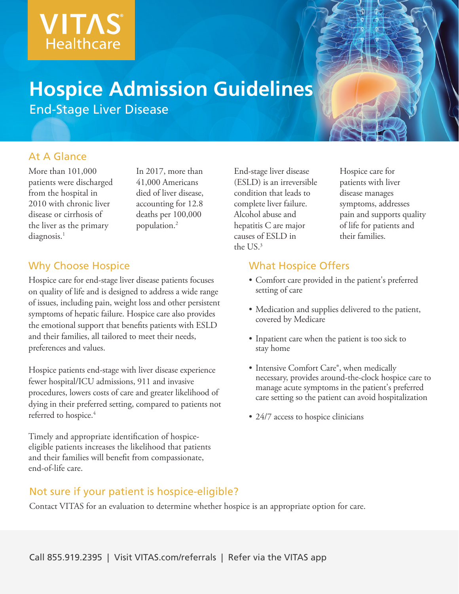

# **Hospice Admission Guidelines**

End-Stage Liver Disease

#### At A Glance

More than 101,000 patients were discharged from the hospital in 2010 with chronic liver disease or cirrhosis of the liver as the primary  $diagnosis.<sup>1</sup>$ 

In 2017, more than 41,000 Americans died of liver disease, accounting for 12.8 deaths per 100,000 population.2

## Why Choose Hospice

Hospice care for end-stage liver disease patients focuses on quality of life and is designed to address a wide range of issues, including pain, weight loss and other persistent symptoms of hepatic failure. Hospice care also provides the emotional support that benefits patients with ESLD and their families, all tailored to meet their needs, preferences and values.

Hospice patients end-stage with liver disease experience fewer hospital/ICU admissions, 911 and invasive procedures, lowers costs of care and greater likelihood of dying in their preferred setting, compared to patients not referred to hospice.<sup>4</sup>

Timely and appropriate identification of hospiceeligible patients increases the likelihood that patients and their families will benefit from compassionate, end-of-life care.

End-stage liver disease (ESLD) is an irreversible condition that leads to complete liver failure. Alcohol abuse and hepatitis C are major causes of ESLD in the US.3

Hospice care for patients with liver disease manages symptoms, addresses pain and supports quality of life for patients and their families.

#### What Hospice Offers

- Comfort care provided in the patient's preferred setting of care
- Medication and supplies delivered to the patient, covered by Medicare
- Inpatient care when the patient is too sick to stay home
- Intensive Comfort Care®, when medically necessary, provides around-the-clock hospice care to manage acute symptoms in the patient's preferred care setting so the patient can avoid hospitalization
- 24/7 access to hospice clinicians

#### Not sure if your patient is hospice-eligible?

Contact VITAS for an evaluation to determine whether hospice is an appropriate option for care.